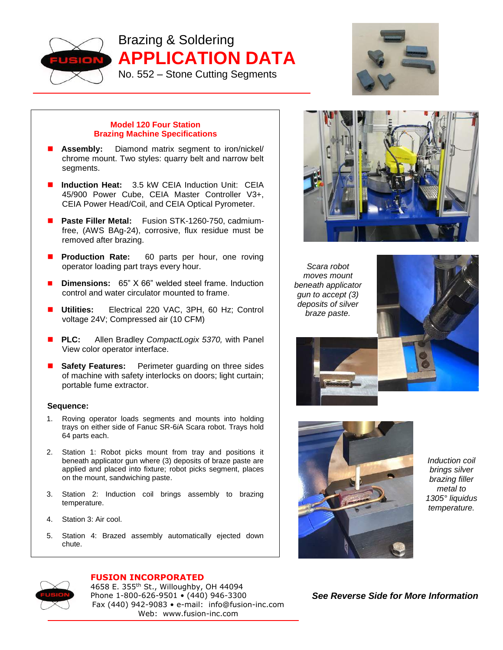

Brazing & Soldering **APPLICATION DATA** No. 552 – Stone Cutting Segments



## **Model 120 Four Station Brazing Machine Specifications**

- **Assembly:** Diamond matrix segment to iron/nickel/ chrome mount. Two styles: quarry belt and narrow belt segments.
- **Induction Heat:** 3.5 kW CEIA Induction Unit: CEIA 45/900 Power Cube, CEIA Master Controller V3+, CEIA Power Head/Coil, and CEIA Optical Pyrometer.
- **Paste Filler Metal:** Fusion STK-1260-750, cadmiumfree, (AWS BAg-24), corrosive, flux residue must be removed after brazing.
- **Production Rate:** 60 parts per hour, one roving operator loading part trays every hour.
- **Dimensions:** 65" X 66" welded steel frame. Induction control and water circulator mounted to frame.
- **Utilities:** Electrical 220 VAC, 3PH, 60 Hz; Control voltage 24V; Compressed air (10 CFM)
- **PLC:** Allen Bradley *CompactLogix 5370,* with Panel View color operator interface.
- **Safety Features:** Perimeter guarding on three sides of machine with safety interlocks on doors; light curtain; portable fume extractor.

## **Sequence:**

- 1. Roving operator loads segments and mounts into holding trays on either side of Fanuc SR-6*i*A Scara robot. Trays hold 64 parts each.
- 2. Station 1: Robot picks mount from tray and positions it beneath applicator gun where (3) deposits of braze paste are applied and placed into fixture; robot picks segment, places on the mount, sandwiching paste.
- 3. Station 2: Induction coil brings assembly to brazing temperature.
- 4. Station 3: Air cool.
- 5. Station 4: Brazed assembly automatically ejected down chute.



*Scara robot moves mount beneath applicator gun to accept (3) deposits of silver braze paste.*





*Induction coil brings silver brazing filler metal to 1305° liquidus temperature.*

## *See Reverse Side for More Information*



## **FUSION INCORPORATED** 4658 E. 355<sup>th</sup> St., Willoughby, OH 44094 Phone 1-800-626-9501 • (440) 946-3300 Fax (440) 942-9083 • e-mail: info@fusion-inc.com Web: www.fusion-inc.com